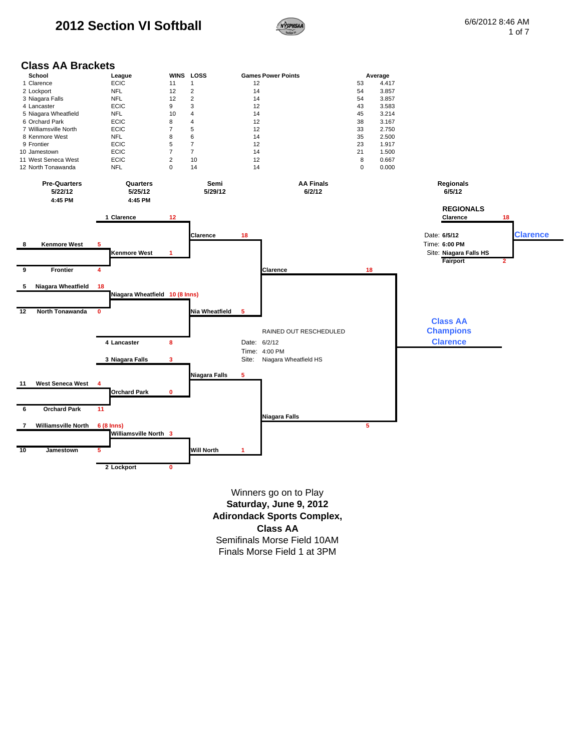# **2012 Section VI Softball Example 30 AM 6/6/2012 8:46 AM**



**2**

# **Class AA Brackets**



Finals Morse Field 1 at 3PM **Saturday, June 9, 2012 Adirondack Sports Complex, Class AA** Semifinals Morse Field 10AM Winners go on to Play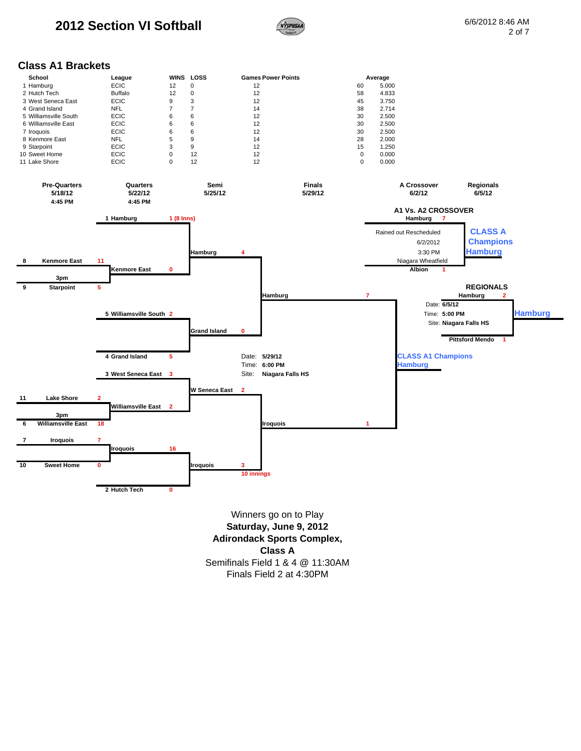

#### **Class A1 Brackets**

|             | School                | League         | WINS | <b>LOSS</b> | <b>Games Power Points</b> |          | Average |
|-------------|-----------------------|----------------|------|-------------|---------------------------|----------|---------|
|             | 1 Hamburg             | <b>ECIC</b>    | 12   | 0           | 12                        | 60       | 5.000   |
|             | 2 Hutch Tech          | <b>Buffalo</b> | 12   | $\Omega$    | 12                        | 58       | 4.833   |
|             | 3 West Seneca East    | <b>ECIC</b>    | 9    | 3           | 12                        | 45       | 3.750   |
|             | 4 Grand Island        | NFL            |      |             | 14                        | 38       | 2.714   |
|             | 5 Williamsville South | <b>ECIC</b>    | 6    | 6           | 12                        | 30       | 2.500   |
|             | 6 Williamsville East  | <b>ECIC</b>    | 6    | 6           | 12                        | 30       | 2.500   |
| 7 Iroguois  |                       | <b>ECIC</b>    | 6    | 6           | 12                        | 30       | 2.500   |
|             | 8 Kenmore East        | <b>NFL</b>     | 5    | 9           | 14                        | 28       | 2.000   |
| 9 Starpoint |                       | <b>ECIC</b>    | 3    | 9           | 12                        | 15       | 1.250   |
|             | 10 Sweet Home         | <b>ECIC</b>    | 0    | 12          | 12                        | 0        | 0.000   |
|             | 11 Lake Shore         | <b>ECIC</b>    | 0    | 12          | 12                        | $\Omega$ | 0.000   |



**Class A** Semifinals Field 1 & 4 @ 11:30AM Finals Field 2 at 4:30PM Winners go on to Play **Saturday, June 9, 2012 Adirondack Sports Complex,**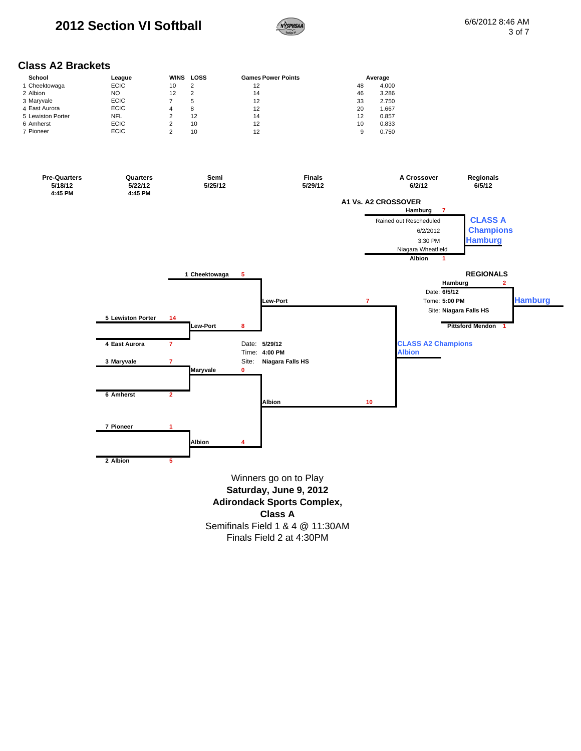# **2012 Section VI Softball Example 3 CONSUMING SAM** 6/6/2012 8:46 AM



### **Class A2 Brackets**

| School            | League      | WINS | LOSS | <b>Games Power Points</b> |    | Average |
|-------------------|-------------|------|------|---------------------------|----|---------|
| 1 Cheektowaga     | <b>ECIC</b> | 10   | 2    | 12                        | 48 | 4.000   |
| 2 Albion          | NO          | 12   | 2    | 14                        | 46 | 3.286   |
| 3 Maryvale        | <b>ECIC</b> |      | 5    | 12                        | 33 | 2.750   |
| 4 East Aurora     | <b>ECIC</b> | 4    | 8    | 12                        | 20 | 1.667   |
| 5 Lewiston Porter | <b>NFL</b>  |      | 12   | 14                        | 12 | 0.857   |
| 6 Amherst         | <b>ECIC</b> |      | 10   | 12                        | 10 | 0.833   |
| 7 Pioneer         | <b>ECIC</b> |      | 10   | 12                        |    | 0.750   |



Finals Field 2 at 4:30PM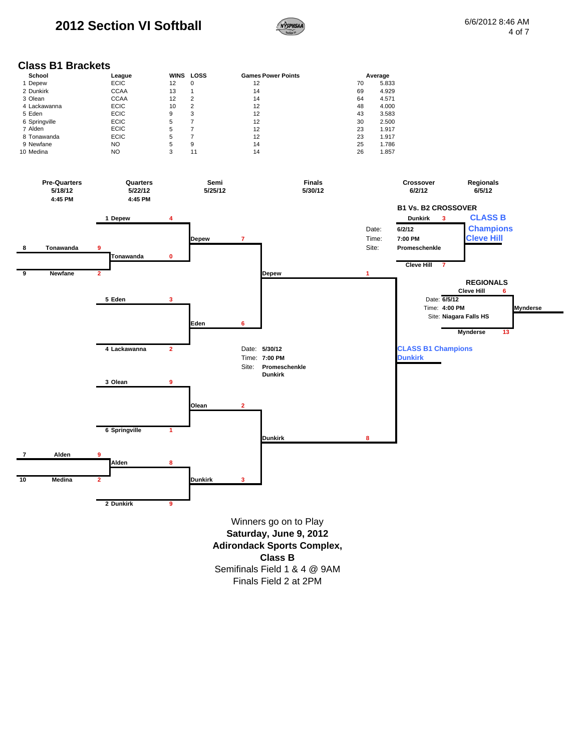# **2012 Section VI Softball Example 3:46 AM 6/6/2012 8:46 AM**



### **Class B1 Brackets**

| School        | League      | WINS | LOSS | <b>Games Power Points</b> | Average |       |
|---------------|-------------|------|------|---------------------------|---------|-------|
| 1 Depew       | <b>ECIC</b> | 12   | 0    | 12                        | 70      | 5.833 |
| 2 Dunkirk     | <b>CCAA</b> | 13   |      | 14                        | 69      | 4.929 |
| 3 Olean       | <b>CCAA</b> | 12   | 2    | 14                        | 64      | 4.571 |
| 4 Lackawanna  | <b>ECIC</b> | 10   | 2    | 12                        | 48      | 4.000 |
| 5 Eden        | <b>ECIC</b> | 9    | 3    | 12                        | 43      | 3.583 |
| 6 Springville | <b>ECIC</b> | 5    |      | 12                        | 30      | 2.500 |
| 7 Alden       | <b>ECIC</b> | 5    |      | 12                        | 23      | 1.917 |
| 8 Tonawanda   | <b>ECIC</b> | 5    |      | 12                        | 23      | 1.917 |
| 9 Newfane     | NO.         | 5    | 9    | 14                        | 25      | 1.786 |
| 10 Medina     | NO          | 3    | 11   | 14                        | 26      | 1.857 |



Finals Field 2 at 2PM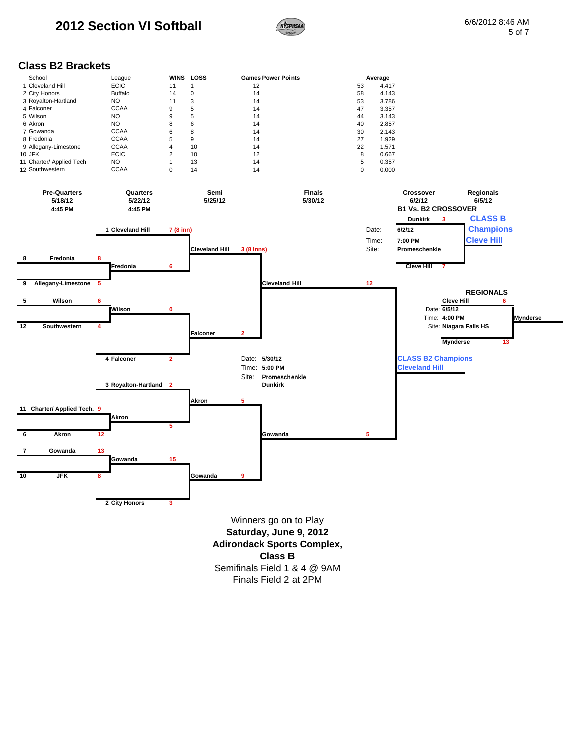

#### **Class B2 Brackets**

| School                    | League         |    | WINS LOSS | <b>Games Power Points</b> | Average |       |
|---------------------------|----------------|----|-----------|---------------------------|---------|-------|
| 1 Cleveland Hill          | <b>ECIC</b>    | 11 |           | 12                        | 53      | 4.417 |
| 2 City Honors             | <b>Buffalo</b> | 14 | 0         | 14                        | 58      | 4.143 |
| 3 Royalton-Hartland       | NO             | 11 | 3         | 14                        | 53      | 3.786 |
| 4 Falconer                | <b>CCAA</b>    | 9  | 5         | 14                        | 47      | 3.357 |
| 5 Wilson                  | NO.            | 9  | 5         | 14                        | 44      | 3.143 |
| 6 Akron                   | NO.            | 8  | 6         | 14                        | 40      | 2.857 |
| 7 Gowanda                 | <b>CCAA</b>    | 6  | 8         | 14                        | 30      | 2.143 |
| 8 Fredonia                | <b>CCAA</b>    | 5  | 9         | 14                        | 27      | 1.929 |
| 9 Allegany-Limestone      | <b>CCAA</b>    | 4  | 10        | 14                        | 22      | 1.571 |
| 10 JFK                    | <b>ECIC</b>    | 2  | 10        | 12                        | 8       | 0.667 |
| 11 Charter/ Applied Tech. | NO             |    | 13        | 14                        | 5       | 0.357 |
| 12 Southwestern           | <b>CCAA</b>    |    | 14        | 14                        |         | 0.000 |

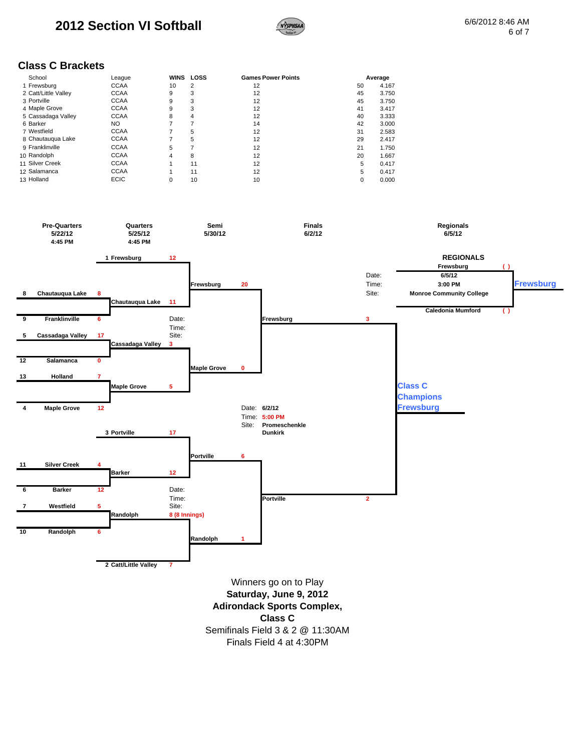

### **Class C Brackets**

| School               | League      | <b>WINS</b> | LOSS | <b>Games Power Points</b> |    | Average |
|----------------------|-------------|-------------|------|---------------------------|----|---------|
| 1 Frewsburg          | <b>CCAA</b> | 10          | 2    | 12                        | 50 | 4.167   |
| 2 Catt/Little Valley | <b>CCAA</b> | 9           | 3    | 12                        | 45 | 3.750   |
| 3 Portville          | <b>CCAA</b> | 9           | 3    | 12                        | 45 | 3.750   |
| 4 Maple Grove        | <b>CCAA</b> | 9           | 3    | 12                        | 41 | 3.417   |
| 5 Cassadaga Valley   | <b>CCAA</b> | 8           | 4    | 12                        | 40 | 3.333   |
| 6 Barker             | NO.         | 7           |      | 14                        | 42 | 3.000   |
| 7 Westfield          | <b>CCAA</b> | 7           | 5    | 12                        | 31 | 2.583   |
| 8 Chautauqua Lake    | <b>CCAA</b> | 7           | 5    | 12                        | 29 | 2.417   |
| 9 Franklinville      | <b>CCAA</b> | 5           |      | 12                        | 21 | 1.750   |
| 10 Randolph          | <b>CCAA</b> | 4           | 8    | 12                        | 20 | 1.667   |
| 11 Silver Creek      | <b>CCAA</b> |             | 11   | 12                        | 5  | 0.417   |
| 12 Salamanca         | <b>CCAA</b> |             | 11   | 12                        | 5  | 0.417   |
| 13 Holland           | <b>ECIC</b> | 0           | 10   | 10                        | 0  | 0.000   |



Finals Field 4 at 4:30PM